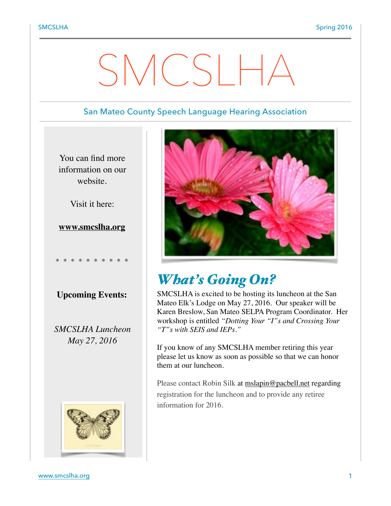# SMCSLH

## San Mateo County Speech Language Hearing Association

You can find more information on our website.

Visit it here:

**[www.smcslha.org](http://www.smcslha.org)**

**Upcoming Events:**

\* \* \* \* \* \* \* \* \* \*

*SMCSLHA Luncheon May 27, 2016*





# *What's Going On?*

SMCSLHA is excited to be hosting its luncheon at the San Mateo Elk's Lodge on May 27, 2016. Our speaker will be Karen Breslow, San Mateo SELPA Program Coordinator. Her workshop is entitled *"Dotting Your "I"s and Crossing Your "T"s with SEIS and IEPs."*

If you know of any SMCSLHA member retiring this year please let us know as soon as possible so that we can honor them at our luncheon.

Please contact Robin Silk at [mslapin@pacbell.net](mailto:mslapin@pacbell.net) regarding registration for the luncheon and to provide any retiree information for 2016.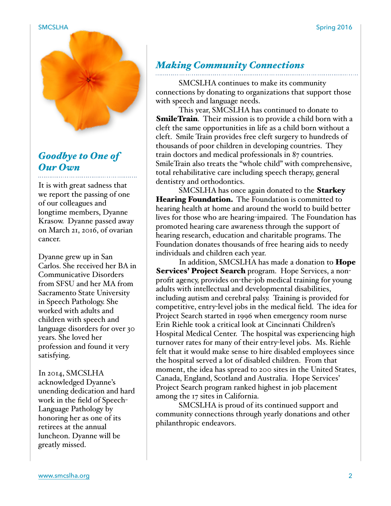

# *Goodbye to One of Our Own*

It is with great sadness that we report the passing of one of our colleagues and longtime members, Dyanne Krasow. Dyanne passed away on March 21, 2016, of ovarian cancer.

Dyanne grew up in San Carlos. She received her BA in Communicative Disorders from SFSU and her MA from Sacramento State University in Speech Pathology. She worked with adults and children with speech and language disorders for over 30 years. She loved her profession and found it very satisfying.

In 2014, SMCSLHA acknowledged Dyanne's unending dedication and hard work in the field of Speech-Language Pathology by honoring her as one of its retirees at the annual luncheon. Dyanne will be greatly missed.

# *Making Community Connections*

SMCSLHA continues to make its community connections by donating to organizations that support those with speech and language needs.

This year, SMCSLHA has continued to donate to **SmileTrain.** Their mission is to provide a child born with a cleft the same opportunities in life as a child born without a cleft. Smile Train provides free cleft surgery to hundreds of thousands of poor children in developing countries. They train doctors and medical professionals in 87 countries. SmileTrain also treats the "whole child" with comprehensive, total rehabilitative care including speech therapy, general dentistry and orthodontics.

SMCSLHA has once again donated to the **Starkey Hearing Foundation.** The Foundation is committed to hearing health at home and around the world to build better lives for those who are hearing-impaired. The Foundation has promoted hearing care awareness through the support of hearing research, education and charitable programs. The Foundation donates thousands of free hearing aids to needy individuals and children each year.

In addition, SMCSLHA has made a donation to **Hope Services' Project Search** program. Hope Services, a nonprofit agency, provides on-the-job medical training for young adults with intellectual and developmental disabilities, including autism and cerebral palsy. Training is provided for competitive, entry-level jobs in the medical field. The idea for Project Search started in 1996 when emergency room nurse Erin Riehle took a critical look at Cincinnati Children's Hospital Medical Center. The hospital was experiencing high turnover rates for many of their entry-level jobs. Ms. Riehle felt that it would make sense to hire disabled employees since the hospital served a lot of disabled children. From that moment, the idea has spread to 200 sites in the United States, Canada, England, Scotland and Australia. Hope Services' Project Search program ranked highest in job placement among the 17 sites in California.

SMCSLHA is proud of its continued support and community connections through yearly donations and other philanthropic endeavors.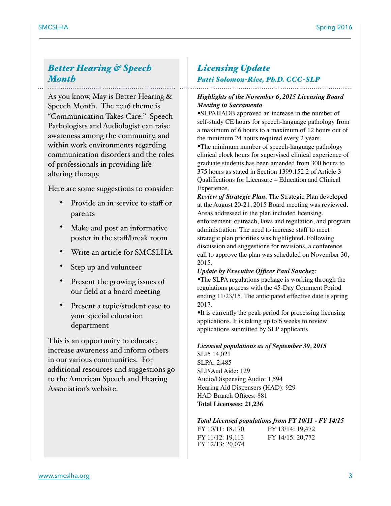# *Better Hearing & Speech Month*

As you know, May is Better Hearing & Speech Month. The 2016 theme is "Communication Takes Care." Speech Pathologists and Audiologist can raise awareness among the community, and within work environments regarding communication disorders and the roles of professionals in providing lifealtering therapy.

Here are some suggestions to consider:

- Provide an in-service to staff or parents
- Make and post an informative poster in the staff/break room
- Write an article for SMCSLHA
- Step up and volunteer
- Present the growing issues of our field at a board meeting
- Present a topic/student case to your special education department

This is an opportunity to educate, increase awareness and inform others in our various communities. For additional resources and suggestions go to the American Speech and Hearing Association's website.

# *Licensing Update*

### *Patti Solomon-Rice, Ph.D. CCC-SLP*

#### *Highlights of the November 6, 2015 Licensing Board Meeting in Sacramento*

•SLPAHADB approved an increase in the number of self-study CE hours for speech-language pathology from a maximum of 6 hours to a maximum of 12 hours out of the minimum 24 hours required every 2 years.

•The minimum number of speech-language pathology clinical clock hours for supervised clinical experience of graduate students has been amended from 300 hours to 375 hours as stated in Section 1399.152.2 of Article 3 Qualifications for Licensure – Education and Clinical Experience.

*Review of Strategic Plan.* The Strategic Plan developed at the August 20-21, 2015 Board meeting was reviewed. Areas addressed in the plan included licensing, enforcement, outreach, laws and regulation, and program administration. The need to increase staff to meet strategic plan priorities was highlighted. Following discussion and suggestions for revisions, a conference call to approve the plan was scheduled on November 30, 2015.

#### *Update by Executive Officer Paul Sanchez:*

•The SLPA regulations package is working through the regulations process with the 45-Day Comment Period ending 11/23/15. The anticipated effective date is spring 2017.

•It is currently the peak period for processing licensing applications. It is taking up to 6 weeks to review applications submitted by SLP applicants.

#### *Licensed populations as of September 30, 2015*

SLP: 14,021 SLPA: 2,485 SLP/Aud Aide: 129 Audio/Dispensing Audio: 1,594 Hearing Aid Dispensers (HAD): 929 HAD Branch Offices: 881 **Total Licensees: 21,236** 

#### *Total Licensed populations from FY 10/11 - FY 14/15*

| FY 10/11: 18,170 | FY 13/14: 19,472 |
|------------------|------------------|
| FY 11/12: 19,113 | FY 14/15: 20,772 |
| FY 12/13: 20,074 |                  |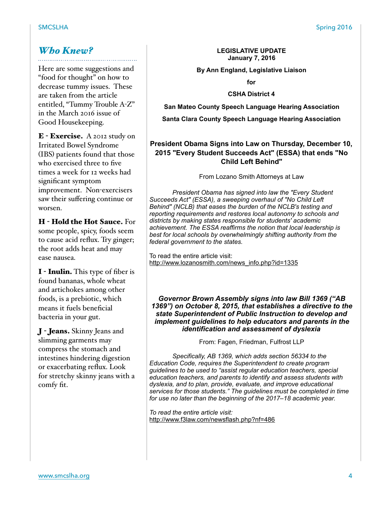# *Who Knew?*

Here are some suggestions and "food for thought" on how to decrease tummy issues. These are taken from the article entitled, "Tummy Trouble A-Z" in the March 2016 issue of Good Housekeeping.

E - Exercise. A 2012 study on Irritated Bowel Syndrome (IBS) patients found that those who exercised three to five times a week for 12 weeks had significant symptom improvement. Non-exercisers saw their suffering continue or worsen.

H - Hold the Hot Sauce. For some people, spicy, foods seem to cause acid reflux. Try ginger; the root adds heat and may ease nausea.

I - Inulin. This type of fiber is found bananas, whole wheat and artichokes among other foods, is a prebiotic, which means it fuels beneficial bacteria in your gut.

J - Jeans. Skinny Jeans and slimming garments may compress the stomach and intestines hindering digestion or exacerbating reflux. Look for stretchy skinny jeans with a comfy fit.

#### **LEGISLATIVE UPDATE January 7, 2016**

#### **By Ann England, Legislative Liaison**

**for** 

**CSHA District 4** 

**San Mateo County Speech Language Hearing Association** 

**Santa Clara County Speech Language Hearing Association** 

## **President Obama Signs into Law on Thursday, December 10, 2015 "Every Student Succeeds Act" (ESSA) that ends "No Child Left Behind"**

From Lozano Smith Attorneys at Law

*President Obama has signed into law the "Every Student Succeeds Act" (ESSA), a sweeping overhaul of "No Child Left Behind" (NCLB) that eases the burden of the NCLB's testing and reporting requirements and restores local autonomy to schools and districts by making states responsible for students' academic achievement. The ESSA reaffirms the notion that local leadership is best for local schools by overwhelmingly shifting authority from the federal government to the states.*

To read the entire article visit: [http://www.lozanosmith.com/news\\_info.php?id=1335](http://www.lozanosmith.com/news_info.php?id=1335)

*Governor Brown Assembly signs into law Bill 1369 ("AB 1369") on October 8, 2015, that establishes a directive to the state Superintendent of Public Instruction to develop and implement guidelines to help educators and parents in the identification and assessment of dyslexia*

From: Fagen, Friedman, Fulfrost LLP

*Specifically, AB 1369, which adds section 56334 to the Education Code, requires the Superintendent to create program guidelines to be used to "assist regular education teachers, special education teachers, and parents to identify and assess students with dyslexia, and to plan, provide, evaluate, and improve educational services for those students." The guidelines must be completed in time for use no later than the beginning of the 2017–18 academic year.*

*To read the entire article visit:*  <http://www.f3law.com/newsflash.php?nf=486>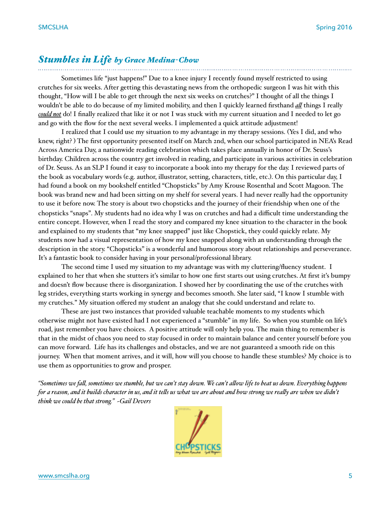#### *Stumbles in Life by Grace Medina-Chow*

Sometimes life "just happens!" Due to a knee injury I recently found myself restricted to using crutches for six weeks. After getting this devastating news from the orthopedic surgeon I was hit with this thought, "How will I be able to get through the next six weeks on crutches?" I thought of all the things I wouldn't be able to do because of my limited mobility, and then I quickly learned firsthand *al* things I really *could not* do! I finally realized that like it or not I was stuck with my current situation and I needed to let go and go with the flow for the next several weeks. I implemented a quick attitude adjustment!

I realized that I could use my situation to my advantage in my therapy sessions. (Yes I did, and who knew, right? ) The first opportunity presented itself on March 2nd, when our school participated in NEA's Read Across America Day, a nationwide reading celebration which takes place annually in honor of Dr. Seuss's birthday. Children across the country get involved in reading, and participate in various activities in celebration of Dr. Seuss. As an SLP I found it easy to incorporate a book into my therapy for the day. I reviewed parts of the book as vocabulary words (e.g. author, illustrator, setting, characters, title, etc.). On this particular day, I had found a book on my bookshelf entitled "Chopsticks" by Amy Krouse Rosenthal and Scott Magoon. The book was brand new and had been sitting on my shelf for several years. I had never really had the opportunity to use it before now. The story is about two chopsticks and the journey of their friendship when one of the chopsticks "snaps". My students had no idea why I was on crutches and had a difficult time understanding the entire concept. However, when I read the story and compared my knee situation to the character in the book and explained to my students that "my knee snapped" just like Chopstick, they could quickly relate. My students now had a visual representation of how my knee snapped along with an understanding through the description in the story. "Chopsticks" is a wonderful and humorous story about relationships and perseverance. It's a fantastic book to consider having in your personal/professional library.

The second time I used my situation to my advantage was with my cluttering/fluency student. I explained to her that when she stutters it's similar to how one first starts out using crutches. At first it's bumpy and doesn't flow because there is disorganization. I showed her by coordinating the use of the crutches with leg strides, everything starts working in synergy and becomes smooth. She later said, "I know I stumble with my crutches." My situation offered my student an analogy that she could understand and relate to.

These are just two instances that provided valuable teachable moments to my students which otherwise might not have existed had I not experienced a "stumble" in my life. So when you stumble on life's road, just remember you have choices. A positive attitude will only help you. The main thing to remember is that in the midst of chaos you need to stay focused in order to maintain balance and center yourself before you can move forward. Life has its challenges and obstacles, and we are not guaranteed a smooth ride on this journey. When that moment arrives, and it will, how will you choose to handle these stumbles? My choice is to use them as opportunities to grow and prosper.

*"Sometimes we fal, sometimes we stumble, but we can't stay down. We can't alow life to beat us down. Everything happens for a reason, and it builds character in us, and it tels us what we are about and how strong we realy are when we didn't think we could be that strong." ~Gail Devers*